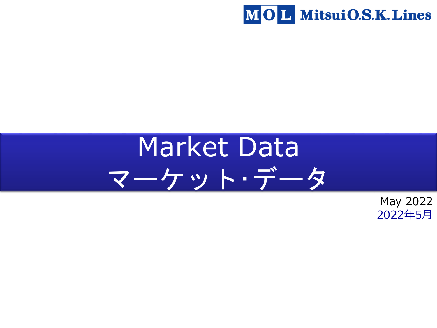

# Market Data マーケット・データ

May 2022 2022年5月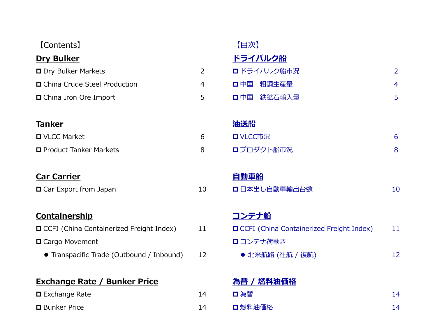| [Contents]                                        |                | 【目次】                                            |                |
|---------------------------------------------------|----------------|-------------------------------------------------|----------------|
| <b>Dry Bulker</b>                                 |                | ドライバルク船                                         |                |
| <b>O</b> Dry Bulker Markets                       | $\overline{2}$ | □ ドライバルク船市況                                     | $\overline{2}$ |
| □ China Crude Steel Production                    | 4              | 粗鋼生産量<br>口中国                                    | $\overline{4}$ |
| □ China Iron Ore Import                           | 5              | 鉄鉱石輸入量<br>口中国                                   | 5              |
|                                                   |                |                                                 |                |
| <b>Tanker</b>                                     |                | <u>油送船</u>                                      |                |
| □ VLCC Market                                     | 6              | <b>D</b> VLCC市況                                 | 6              |
| □ Product Tanker Markets                          | 8              | ロプロダクト船市況                                       | 8              |
|                                                   |                |                                                 |                |
| <b>Car Carrier</b>                                |                | 自動車船                                            |                |
| □ Car Export from Japan                           | 10             | □ 日本出し自動車輸出台数                                   | 10             |
|                                                   |                |                                                 |                |
| Containership                                     |                | コンテナ船                                           |                |
| <b>O</b> CCFI (China Containerized Freight Index) | 11             | <b>OCFI</b> (China Containerized Freight Index) | 11             |
| □ Cargo Movement                                  |                | □ コンテナ荷動き                                       |                |
| • Transpacific Trade (Outbound / Inbound)         | 12             | ● 北米航路 (往航 / 復航)                                | 12             |
|                                                   |                |                                                 |                |
| <b>Exchange Rate / Bunker Price</b>               |                | 為替 / 燃料油価格                                      |                |
| $\square$ Exchange Rate                           | 14             | □為替                                             | 14             |
| <b>D</b> Bunker Price                             | 14             | □ 燃料油価格                                         | 14             |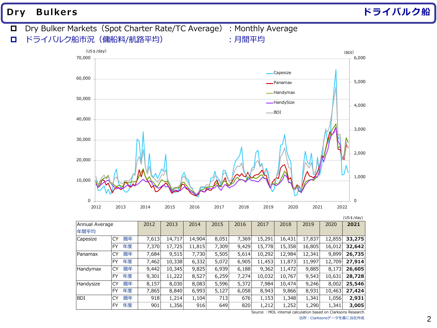**Dry Bulkers ドライバルク船**

# D Dry Bulker Markets (Spot Charter Rate/TC Average) : Monthly Average

ドライバルク船市況(傭船料/航路平均) :月間平均



|                |           |    |       |        |        |       |       |        |        |        |        | (US \$/day) |
|----------------|-----------|----|-------|--------|--------|-------|-------|--------|--------|--------|--------|-------------|
| Annual Average |           |    | 2012  | 2013   | 2014   | 2015  | 2016  | 2017   | 2018   | 2019   | 2020   | 2021        |
| 年間平均           |           |    |       |        |        |       |       |        |        |        |        |             |
| Capesize       | <b>CY</b> | 暦年 | 7,613 | 14,717 | 14,904 | 8,051 | 7,369 | 15,291 | 16,431 | 17,837 | 12,855 | 33,275      |
|                | <b>FY</b> | 年度 | 7,370 | 17,725 | 11,815 | 7,309 | 9,429 | 15,778 | 15,358 | 16,805 | 16,012 | 32,642      |
| <b>Panamax</b> | CY        | 暦年 | 7,684 | 9,515  | 7,730  | 5,505 | 5,614 | 10,292 | 12,984 | 12,341 | 9,899  | 26,735      |
|                | <b>FY</b> | 年度 | 7,462 | 10,338 | 6,332  | 5,072 | 6,905 | 11,453 | 11,873 | 11,997 | 12,709 | 27,914      |
| Handymax       | <b>CY</b> | 暦年 | 9,442 | 10,345 | 9,825  | 6,939 | 6,188 | 9,362  | 11,472 | 9,885  | 8,173  | 26,605      |
|                | <b>FY</b> | 年度 | 9,301 | 11,222 | 8,527  | 6,259 | 7,274 | 10,032 | 10,767 | 9,543  | 10,631 | 28,728      |
| Handysize      | CY        | 暦年 | 8,157 | 8,030  | 8,083  | 5,596 | 5,372 | 7,984  | 10,474 | 9,246  | 8,002  | 25,546      |
|                | <b>FY</b> | 年度 | 7,865 | 8,840  | 6,993  | 5,127 | 6,058 | 8,943  | 9,866  | 8,931  | 10,463 | 27,424      |
| BDI            | CY        | 暦年 | 918   | 1,214  | 1,104  | 713   | 676   | 1,153  | 1,348  | 1,341  | 1,056  | 2,931       |
|                | <b>FY</b> | 年度 | 901   | 1,356  | 916    | 649   | 820   | 1,212  | 1,252  | 1,290  | 1,341  | 3,005       |

Source: MOL internal calculation based on Clarksons Research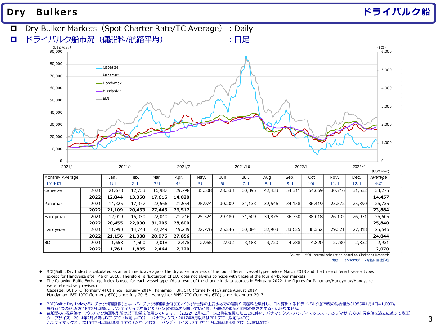# **Dry Bulkers ドライバルク船**



Source : MOL internal calculation based on Clarksons Research

出所:Clarksonsデータを基に当社作成

- BDI(Baltic Dry Index) is calculated as an arithmetic average of the drybulker markets of the four different vessel types before March 2018 and the three different vessel types except for Handysize after March 2018. Therefore, a fluctuation of BDI does not always coincide with those of the four drybulker markets.
- The following Baltic Exchange Index is used for each vessel type. (As a result of the change in data sources in February 2022, the figures for Panamax/Handymax/Handysize were retroactively revised)

Capesize: BCI 5TC (formerly 4TC) since February 2014 Panamax: BPI 5TC (formerly 4TC) since August 2017 Handymax: BSI 10TC (formerly 6TC) since July 2015 Handysize: BHSI 7TC (formerly 6TC) since November 2017

- BDI(Baltic Dry Index/バルチック海運指数)とは、バルチック海運集会所(ロンドン)が世界の主要水域での運賃や傭船料を集計し、日々算出するドライバルク船市況の総合指数(1985年1月4日=1,000)。 異なる4つの船型(2018年3月以降は、ハンディサイズを除いた3船型)の市況を反映している為、各船型の市況と同様の動きをするとは限りません。
- 各船型の市況数値は、バルチック海運取引所の以下指数を使用しています。 (2022年2月にデータ出典を変更したことに伴い、パナマックス・ハンディマックス・ハンディサイズの市況数値を過去に遡って修正) ケープサイズ:2014年2月以降はBCI 5TC(以前は4TC) パナマックス:2017年8月以降はBPI 5TC(以前は4TC) ハンディマックス:2015年7月以降はBSI 10TC(以前は6TC) ハンディサイズ:2017年11月以降はBHSI 7TC(以前は6TC)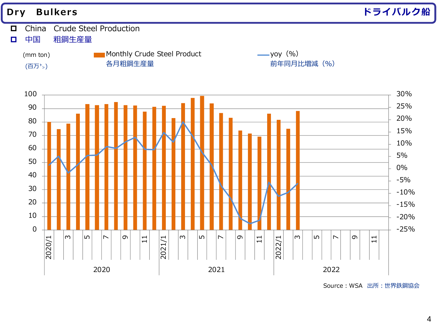

Source:WSA 出所:世界鉄鋼協会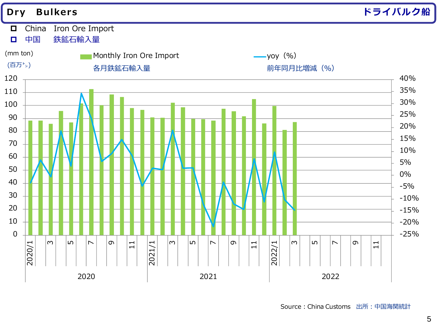

Source:China Customs 出所:中国海関統計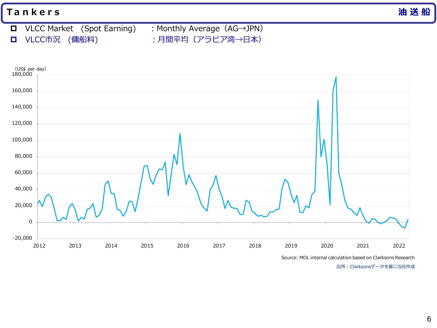VLCC Market (Spot Earning) :Monthly Average(AG→JPN) **ロ** VLCC市況 (傭船料) :月間平均 (アラビア湾→日本)



Source: MOL internal calculation based on Clarksons Research

出所:Clarksonsデータを基に当社作成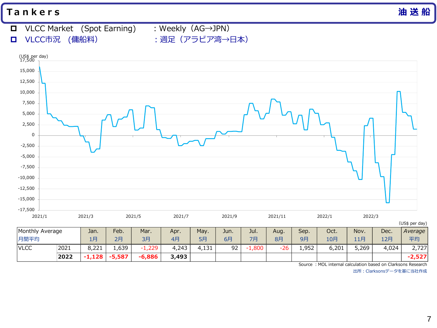- VLCC Market (Spot Earning) :Weekly(AG→JPN)
	-

**ロ** VLCC市況 (傭船料) : 週足 (アラビア湾→日本)

(US\$ per day) Monthly Average | Jan. | Feb. | Mar. | Apr. | May. | Jun. | Jul. | Aug. | Sep. | Oct. | Nov. | Dec. | Average 月間平均 1月 2月 3月 4月 5月 6月 7月 8月 9月 10月 11月 12月 *平均* VLCC |2021 | 8,221 | 1,639 | -1,229 | 4,243 | 4,131 | 92 | -1,800 | -26 | 1,952 | 6,201 | 5,269 | 4,024 | 2,727 | **2022 -1,128 -5,587 -6,886 3,493 -2,527** -17,500 -15,000 -12,500 -10,000 -7,500 -5,000 -2,500 0 2,500 5,000 7,500 10,000 12,500 15,000 (US\$ per day)<br>17,500 – 2021/1 2021/3 2021/5 2021/7 2021/9 2021/11 2022/1 2022/3

Source : MOL internal calculation based on Clarksons Research

出所:Clarksonsデータを基に当社作成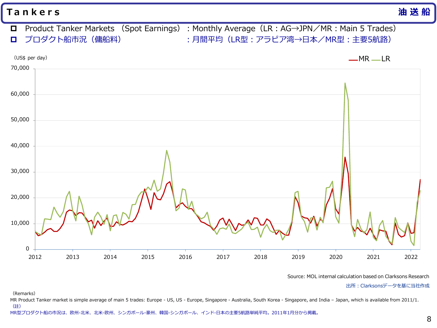Product Tanker Markets (Spot Earnings):Monthly Average(LR:AG→JPN/MR:Main 5 Trades) **ロ** プロダクト船市況 (傭船料) : インスコントン : 月間平均 (LR型:アラビア湾→日本/MR型:主要5航路)



Source: MOL internal calculation based on Clarksons Research

出所:Clarksonsデータを基に当社作成

(Remarks)

MR Product Tanker market is simple average of main 5 trades: Europe - US, US - Europe, Singapore - Australia, South Korea - Singapore, and India – Japan, which is available from 2011/1. (註)

MR型プロダクト船の市況は、欧州-北米、北米-欧州、シンガポール-豪州、韓国-シンガポール、インド-日本の主要5航路単純平均。2011年1月分から掲載。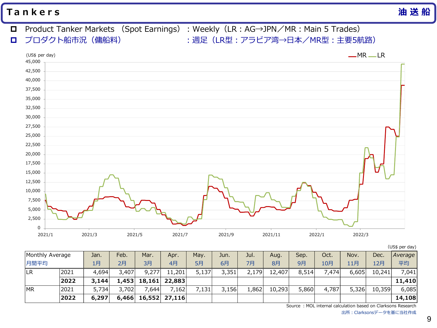- Product Tanker Markets (Spot Earnings):Weekly(LR:AG→JPN/MR:Main 5 Trades) **ロ** プロダクト船市況 (傭船料) : 2000 : 週足 (LR型:アラビア湾→日本/MR型:主要5航路)
	- 0 2,500 5,000 7,500 10,000 12,500 15,000 17,500 20,000 22,500 25,000 27,500 30,000 32,500 35,000 37,500 40,000 42,500 45,000 2021/1 2021/3 2021/5 2021/7 2021/9 2021/11 2022/1 2022/3  $(US\$  per day)  $-MR$  LR

(US\$ per day)

| Monthly Average |      | Jan.  | Feb.  | Mar.                | Apr.            | May.  | Jun.  | Jul.  | Aug.   | Sep.  | Oct.  | Nov.  | Dec.   | Average |
|-----------------|------|-------|-------|---------------------|-----------------|-------|-------|-------|--------|-------|-------|-------|--------|---------|
| 月間平均            |      | 1月    | 2月    | 3月                  | 4月              | 5月    | 6月    | 7月    | 8月     | 9月    | 10月   | 11月   | 12月    | 平均      |
| LR              | 2021 | 4,694 | 3,407 | 9,277               | 11,201          | 5,137 | 3,351 | 2,179 | 12,407 | 8,514 | 7,474 | 6,605 | 10,241 | 7,041   |
|                 | 2022 | 3,144 |       | 1,453 18,161 22,883 |                 |       |       |       |        |       |       |       |        | 11,410  |
| <b>MR</b>       | 2021 | 5,734 | 3,702 | ,644                | 7,162           | 7,131 | 3,156 | 1,862 | 10,293 | 5,860 | 4,787 | 5,326 | 10,359 | 6,085   |
|                 | 2022 | 6,297 | 6,466 |                     | $16,552$ 27,116 |       |       |       |        |       |       |       |        | 14,108  |

Source: MOL internal calculation based on Clarksons Research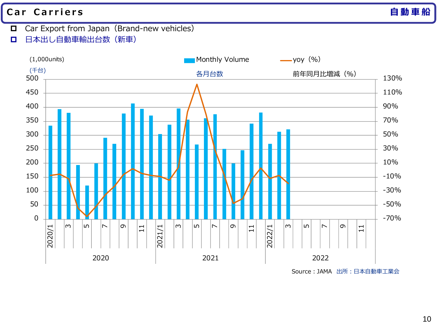# **C a r C a r r i e r s 自動車 船**

- $\Box$  Car Export from Japan (Brand-new vehicles)
- □ 日本出し自動車輸出台数 (新車)



Source:JAMA 出所:日本自動車工業会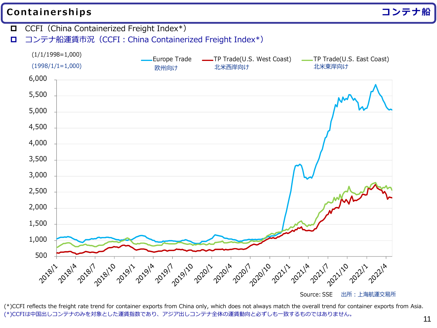# **Containerships コンテナ船**

 $\Box$  CCFI (China Containerized Freight Index<sup>\*</sup>) **ロ** コンテナ船運賃市況 (CCFI: China Containerized Freight Index<sup>\*</sup>)  $(1/1/1998=1,000)$ Europe Trade **TR** Trade(U.S. West Coast) **TR** Trade(U.S. East Coast) (1998/1/1=1,000) 欧州向け 北米西岸向け ホスト おおし 北米東岸向け 6,000 5,500 5,000 4,500 4,000 3,500 3,000 2,500 2,000 1,500 1,000 500 2014 2014 2018/1/2019/11 2019/11 2019/11/2019/11 2019/11/2014 2021/11/2021/11

(\*)CCFI reflects the freight rate trend for container exports from China only, which does not always match the overall trend for container exports from Asia. (\*)CCFIは中国出しコンテナのみを対象とした運賃指数であり、アジア出しコンテナ全体の運賃動向と必ずしも一致するものではありません。

Source: SSE 出所:上海航運交易所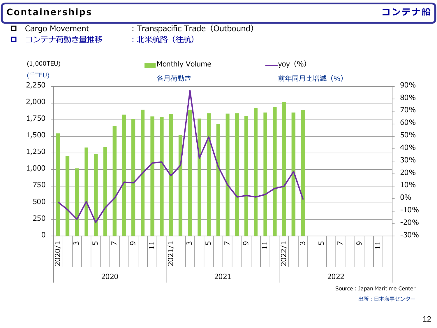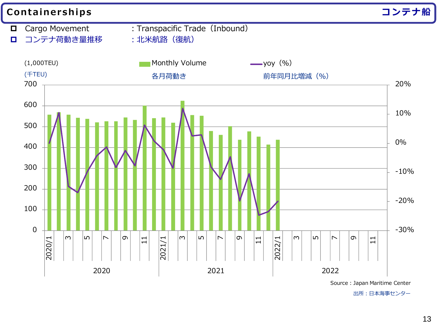

出所:日本海事センター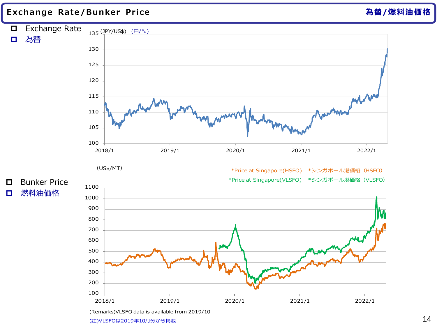#### **Exchange Rate /Bunker Price 為替/燃料油価格**



(Remarks)VLSFO data is available from 2019/10

<sup>(</sup>註)VLSFOは2019年10月分から掲載